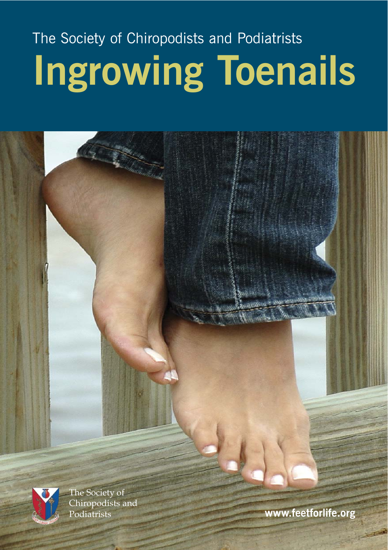# The Society of Chiropodists and Podiatrists **Ingrowing Toenails**

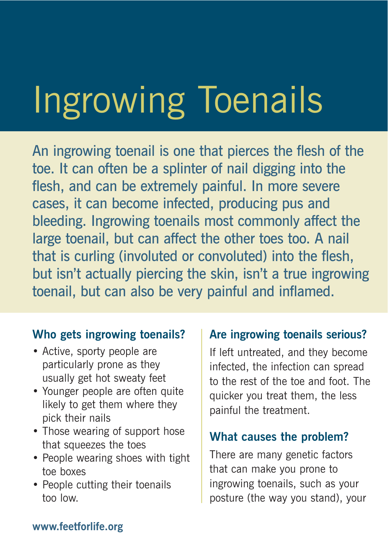# Ingrowing Toenails

An ingrowing toenail is one that pierces the flesh of the toe. It can often be a splinter of nail digging into the flesh, and can be extremely painful. In more severe cases, it can become infected, producing pus and bleeding. Ingrowing toenails most commonly affect the large toenail, but can affect the other toes too. A nail that is curling (involuted or convoluted) into the flesh, but isn't actually piercing the skin, isn't a true ingrowing toenail, but can also be very painful and inflamed.

#### **Who gets ingrowing toenails?**

- Active, sporty people are particularly prone as they usually get hot sweaty feet
- Younger people are often quite likely to get them where they pick their nails
- Those wearing of support hose that squeezes the toes
- People wearing shoes with tight toe boxes
- People cutting their toenails too low.

# **Are ingrowing toenails serious?**

If left untreated, and they become infected, the infection can spread to the rest of the toe and foot. The quicker you treat them, the less painful the treatment.

# **What causes the problem?**

There are many genetic factors that can make you prone to ingrowing toenails, such as your posture (the way you stand), your

#### **www.feetforlife.org**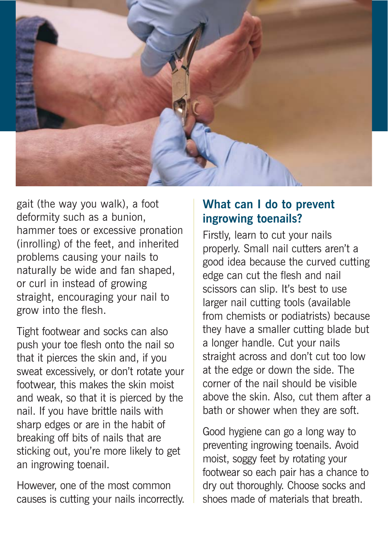

gait (the way you walk), a foot deformity such as a bunion, hammer toes or excessive pronation (inrolling) of the feet, and inherited problems causing your nails to naturally be wide and fan shaped, or curl in instead of growing straight, encouraging your nail to grow into the flesh.

Tight footwear and socks can also push your toe flesh onto the nail so that it pierces the skin and, if you sweat excessively, or don't rotate your footwear, this makes the skin moist and weak, so that it is pierced by the nail. If you have brittle nails with sharp edges or are in the habit of breaking off bits of nails that are sticking out, you're more likely to get an ingrowing toenail.

However, one of the most common causes is cutting your nails incorrectly.

# **What can I do to prevent ingrowing toenails?**

Firstly, learn to cut your nails properly. Small nail cutters aren't a good idea because the curved cutting edge can cut the flesh and nail scissors can slip. It's best to use larger nail cutting tools (available from chemists or podiatrists) because they have a smaller cutting blade but a longer handle. Cut your nails straight across and don't cut too low at the edge or down the side. The corner of the nail should be visible above the skin. Also, cut them after a bath or shower when they are soft.

Good hygiene can go a long way to preventing ingrowing toenails. Avoid moist, soggy feet by rotating your footwear so each pair has a chance to dry out thoroughly. Choose socks and shoes made of materials that breath.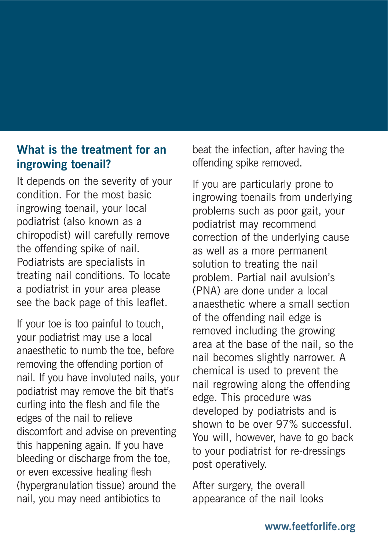# **What is the treatment for an ingrowing toenail?**

It depends on the severity of your condition. For the most basic ingrowing toenail, your local podiatrist (also known as a chiropodist) will carefully remove the offending spike of nail. Podiatrists are specialists in treating nail conditions. To locate a podiatrist in your area please see the back page of this leaflet.

If your toe is too painful to touch, your podiatrist may use a local anaesthetic to numb the toe, before removing the offending portion of nail. If you have involuted nails, your podiatrist may remove the bit that's curling into the flesh and file the edges of the nail to relieve discomfort and advise on preventing this happening again. If you have bleeding or discharge from the toe, or even excessive healing flesh (hypergranulation tissue) around the nail, you may need antibiotics to

beat the infection, after having the offending spike removed.

If you are particularly prone to ingrowing toenails from underlying problems such as poor gait, your podiatrist may recommend correction of the underlying cause as well as a more permanent solution to treating the nail problem. Partial nail avulsion's (PNA) are done under a local anaesthetic where a small section of the offending nail edge is removed including the growing area at the base of the nail, so the nail becomes slightly narrower. A chemical is used to prevent the nail regrowing along the offending edge. This procedure was developed by podiatrists and is shown to be over 97% successful. You will, however, have to go back to your podiatrist for re-dressings post operatively.

After surgery, the overall appearance of the nail looks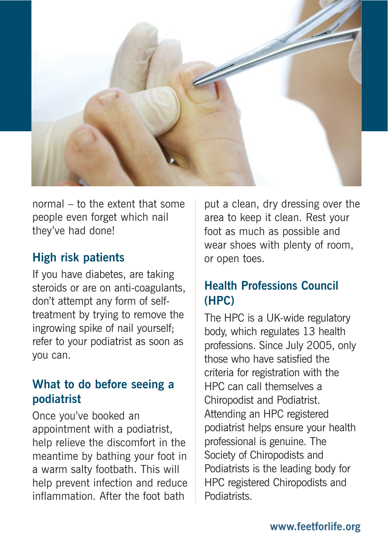

normal – to the extent that some people even forget which nail they've had done!

# **High risk patients**

If you have diabetes, are taking steroids or are on anti-coagulants, don't attempt any form of selftreatment by trying to remove the ingrowing spike of nail yourself; refer to your podiatrist as soon as you can.

# **What to do before seeing a podiatrist**

Once you've booked an appointment with a podiatrist, help relieve the discomfort in the meantime by bathing your foot in a warm salty footbath. This will help prevent infection and reduce inflammation. After the foot bath

put a clean, dry dressing over the area to keep it clean. Rest your foot as much as possible and wear shoes with plenty of room, or open toes.

# **Health Professions Council (HPC)**

The HPC is a UK-wide regulatory body, which regulates 13 health professions. Since July 2005, only those who have satisfied the criteria for registration with the HPC can call themselves a Chiropodist and Podiatrist. Attending an HPC registered podiatrist helps ensure your health professional is genuine. The Society of Chiropodists and Podiatrists is the leading body for HPC registered Chiropodists and Podiatrists.